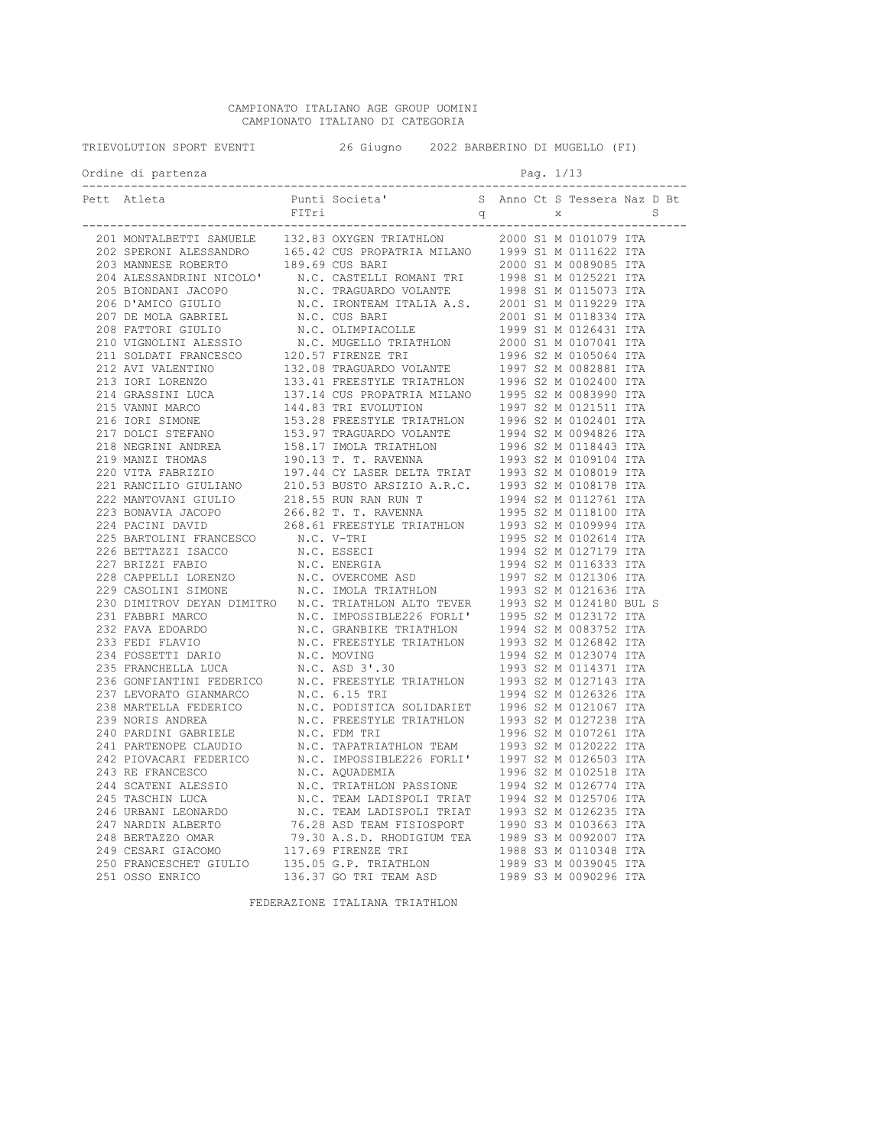| TRIEVOLUTION SPORT EVENTI |       | 26 Giugno 2022 BARBERINO DI MUGELLO (FI) |   |             |  |                              |              |  |
|---------------------------|-------|------------------------------------------|---|-------------|--|------------------------------|--------------|--|
| Ordine di partenza        |       |                                          |   | Pag. 1/13   |  |                              |              |  |
|                           | FITri |                                          | q | $\mathbf X$ |  | S Anno Ct S Tessera Naz D Bt | $\mathbb{S}$ |  |
|                           |       |                                          |   |             |  |                              |              |  |
|                           |       |                                          |   |             |  |                              |              |  |
|                           |       |                                          |   |             |  |                              |              |  |
|                           |       |                                          |   |             |  |                              |              |  |
|                           |       |                                          |   |             |  |                              |              |  |
|                           |       |                                          |   |             |  |                              |              |  |
|                           |       |                                          |   |             |  |                              |              |  |
|                           |       |                                          |   |             |  |                              |              |  |
|                           |       |                                          |   |             |  |                              |              |  |
|                           |       |                                          |   |             |  |                              |              |  |
|                           |       |                                          |   |             |  |                              |              |  |
|                           |       |                                          |   |             |  |                              |              |  |
|                           |       |                                          |   |             |  |                              |              |  |
|                           |       |                                          |   |             |  |                              |              |  |
|                           |       |                                          |   |             |  |                              |              |  |
|                           |       |                                          |   |             |  |                              |              |  |
|                           |       |                                          |   |             |  |                              |              |  |
|                           |       |                                          |   |             |  |                              |              |  |
|                           |       |                                          |   |             |  |                              |              |  |
|                           |       |                                          |   |             |  |                              |              |  |
|                           |       |                                          |   |             |  |                              |              |  |
|                           |       |                                          |   |             |  |                              |              |  |
|                           |       |                                          |   |             |  |                              |              |  |
|                           |       |                                          |   |             |  |                              |              |  |
|                           |       |                                          |   |             |  |                              |              |  |
|                           |       |                                          |   |             |  |                              |              |  |
|                           |       |                                          |   |             |  |                              |              |  |
|                           |       |                                          |   |             |  |                              |              |  |
|                           |       |                                          |   |             |  |                              |              |  |
|                           |       |                                          |   |             |  |                              |              |  |
|                           |       |                                          |   |             |  |                              |              |  |
|                           |       |                                          |   |             |  |                              |              |  |
|                           |       |                                          |   |             |  |                              |              |  |
|                           |       |                                          |   |             |  |                              |              |  |
|                           |       |                                          |   |             |  |                              |              |  |
|                           |       |                                          |   |             |  |                              |              |  |
|                           |       |                                          |   |             |  |                              |              |  |
|                           |       |                                          |   |             |  |                              |              |  |
|                           |       |                                          |   |             |  |                              |              |  |
|                           |       |                                          |   |             |  |                              |              |  |
|                           |       |                                          |   |             |  |                              |              |  |
|                           |       |                                          |   |             |  |                              |              |  |
|                           |       |                                          |   |             |  |                              |              |  |
|                           |       |                                          |   |             |  |                              |              |  |
|                           |       |                                          |   |             |  |                              |              |  |
|                           |       |                                          |   |             |  |                              |              |  |
|                           |       |                                          |   |             |  |                              |              |  |
|                           |       |                                          |   |             |  |                              |              |  |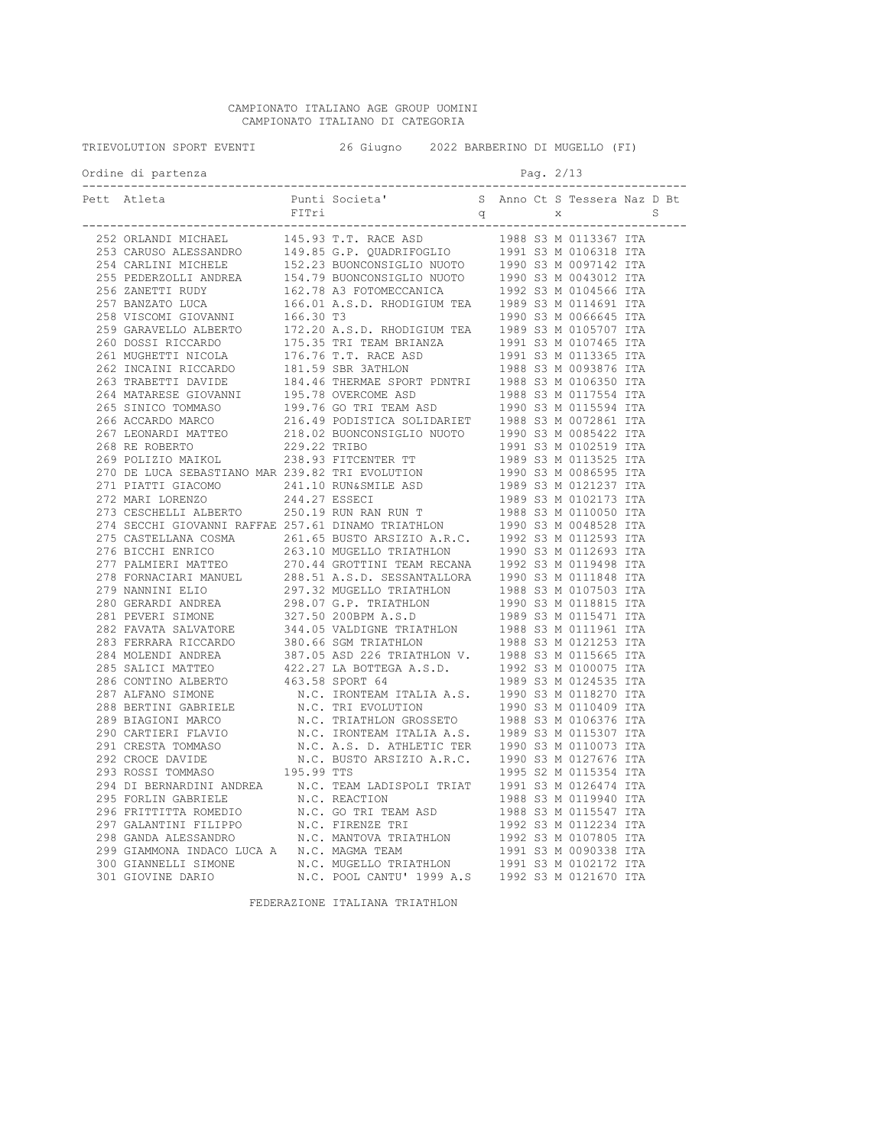| TRIEVOLUTION SPORT EVENTI 40 26 Giugno 2022 BARBERINO DI MUGELLO (FI)                                                                                                                                                                                                                                                                                                                                                                                                                           |  |  |           |  |  |  |
|-------------------------------------------------------------------------------------------------------------------------------------------------------------------------------------------------------------------------------------------------------------------------------------------------------------------------------------------------------------------------------------------------------------------------------------------------------------------------------------------------|--|--|-----------|--|--|--|
| Ordine di partenza                                                                                                                                                                                                                                                                                                                                                                                                                                                                              |  |  | Pag. 2/13 |  |  |  |
| Pett Atleta<br>Pett Atleta<br>Pett Atleta<br>Pett Atleta<br>Pett Atleta<br>Pett Atleta<br>Pett Atleta<br>Pett Atleta<br>Petri d<br>Petri d<br>Petri d<br>S Anno Ct S Tessera Naz D Bt<br>S Nano Ct S Tessera Naz D Bt<br>S Nano Ct S Tessera Naz D Bt<br>S<br>eti Ahena Print Societa" (2000)<br>1921 - Print Societa" (2000)<br>2011 - 2012 - 2012 - 2012 - 2012 - 2012 - 2012 - 2012 - 2012 - 2012 - 2012 - 2012 - 2012 - 2012 - 2012 - 2012 - 2012 - 2012 - 2012 - 2012 - 2012 - 2012 - 2012 |  |  |           |  |  |  |
|                                                                                                                                                                                                                                                                                                                                                                                                                                                                                                 |  |  |           |  |  |  |
|                                                                                                                                                                                                                                                                                                                                                                                                                                                                                                 |  |  |           |  |  |  |
|                                                                                                                                                                                                                                                                                                                                                                                                                                                                                                 |  |  |           |  |  |  |
|                                                                                                                                                                                                                                                                                                                                                                                                                                                                                                 |  |  |           |  |  |  |
|                                                                                                                                                                                                                                                                                                                                                                                                                                                                                                 |  |  |           |  |  |  |
|                                                                                                                                                                                                                                                                                                                                                                                                                                                                                                 |  |  |           |  |  |  |
|                                                                                                                                                                                                                                                                                                                                                                                                                                                                                                 |  |  |           |  |  |  |
|                                                                                                                                                                                                                                                                                                                                                                                                                                                                                                 |  |  |           |  |  |  |
|                                                                                                                                                                                                                                                                                                                                                                                                                                                                                                 |  |  |           |  |  |  |
|                                                                                                                                                                                                                                                                                                                                                                                                                                                                                                 |  |  |           |  |  |  |
|                                                                                                                                                                                                                                                                                                                                                                                                                                                                                                 |  |  |           |  |  |  |
|                                                                                                                                                                                                                                                                                                                                                                                                                                                                                                 |  |  |           |  |  |  |
|                                                                                                                                                                                                                                                                                                                                                                                                                                                                                                 |  |  |           |  |  |  |
|                                                                                                                                                                                                                                                                                                                                                                                                                                                                                                 |  |  |           |  |  |  |
|                                                                                                                                                                                                                                                                                                                                                                                                                                                                                                 |  |  |           |  |  |  |
|                                                                                                                                                                                                                                                                                                                                                                                                                                                                                                 |  |  |           |  |  |  |
|                                                                                                                                                                                                                                                                                                                                                                                                                                                                                                 |  |  |           |  |  |  |
|                                                                                                                                                                                                                                                                                                                                                                                                                                                                                                 |  |  |           |  |  |  |
|                                                                                                                                                                                                                                                                                                                                                                                                                                                                                                 |  |  |           |  |  |  |
|                                                                                                                                                                                                                                                                                                                                                                                                                                                                                                 |  |  |           |  |  |  |
|                                                                                                                                                                                                                                                                                                                                                                                                                                                                                                 |  |  |           |  |  |  |
|                                                                                                                                                                                                                                                                                                                                                                                                                                                                                                 |  |  |           |  |  |  |
|                                                                                                                                                                                                                                                                                                                                                                                                                                                                                                 |  |  |           |  |  |  |
|                                                                                                                                                                                                                                                                                                                                                                                                                                                                                                 |  |  |           |  |  |  |
|                                                                                                                                                                                                                                                                                                                                                                                                                                                                                                 |  |  |           |  |  |  |
|                                                                                                                                                                                                                                                                                                                                                                                                                                                                                                 |  |  |           |  |  |  |
|                                                                                                                                                                                                                                                                                                                                                                                                                                                                                                 |  |  |           |  |  |  |
|                                                                                                                                                                                                                                                                                                                                                                                                                                                                                                 |  |  |           |  |  |  |
|                                                                                                                                                                                                                                                                                                                                                                                                                                                                                                 |  |  |           |  |  |  |
|                                                                                                                                                                                                                                                                                                                                                                                                                                                                                                 |  |  |           |  |  |  |
|                                                                                                                                                                                                                                                                                                                                                                                                                                                                                                 |  |  |           |  |  |  |
|                                                                                                                                                                                                                                                                                                                                                                                                                                                                                                 |  |  |           |  |  |  |
|                                                                                                                                                                                                                                                                                                                                                                                                                                                                                                 |  |  |           |  |  |  |
|                                                                                                                                                                                                                                                                                                                                                                                                                                                                                                 |  |  |           |  |  |  |
|                                                                                                                                                                                                                                                                                                                                                                                                                                                                                                 |  |  |           |  |  |  |
|                                                                                                                                                                                                                                                                                                                                                                                                                                                                                                 |  |  |           |  |  |  |
|                                                                                                                                                                                                                                                                                                                                                                                                                                                                                                 |  |  |           |  |  |  |
|                                                                                                                                                                                                                                                                                                                                                                                                                                                                                                 |  |  |           |  |  |  |
|                                                                                                                                                                                                                                                                                                                                                                                                                                                                                                 |  |  |           |  |  |  |
|                                                                                                                                                                                                                                                                                                                                                                                                                                                                                                 |  |  |           |  |  |  |
|                                                                                                                                                                                                                                                                                                                                                                                                                                                                                                 |  |  |           |  |  |  |
|                                                                                                                                                                                                                                                                                                                                                                                                                                                                                                 |  |  |           |  |  |  |
|                                                                                                                                                                                                                                                                                                                                                                                                                                                                                                 |  |  |           |  |  |  |
|                                                                                                                                                                                                                                                                                                                                                                                                                                                                                                 |  |  |           |  |  |  |
|                                                                                                                                                                                                                                                                                                                                                                                                                                                                                                 |  |  |           |  |  |  |
|                                                                                                                                                                                                                                                                                                                                                                                                                                                                                                 |  |  |           |  |  |  |
|                                                                                                                                                                                                                                                                                                                                                                                                                                                                                                 |  |  |           |  |  |  |
|                                                                                                                                                                                                                                                                                                                                                                                                                                                                                                 |  |  |           |  |  |  |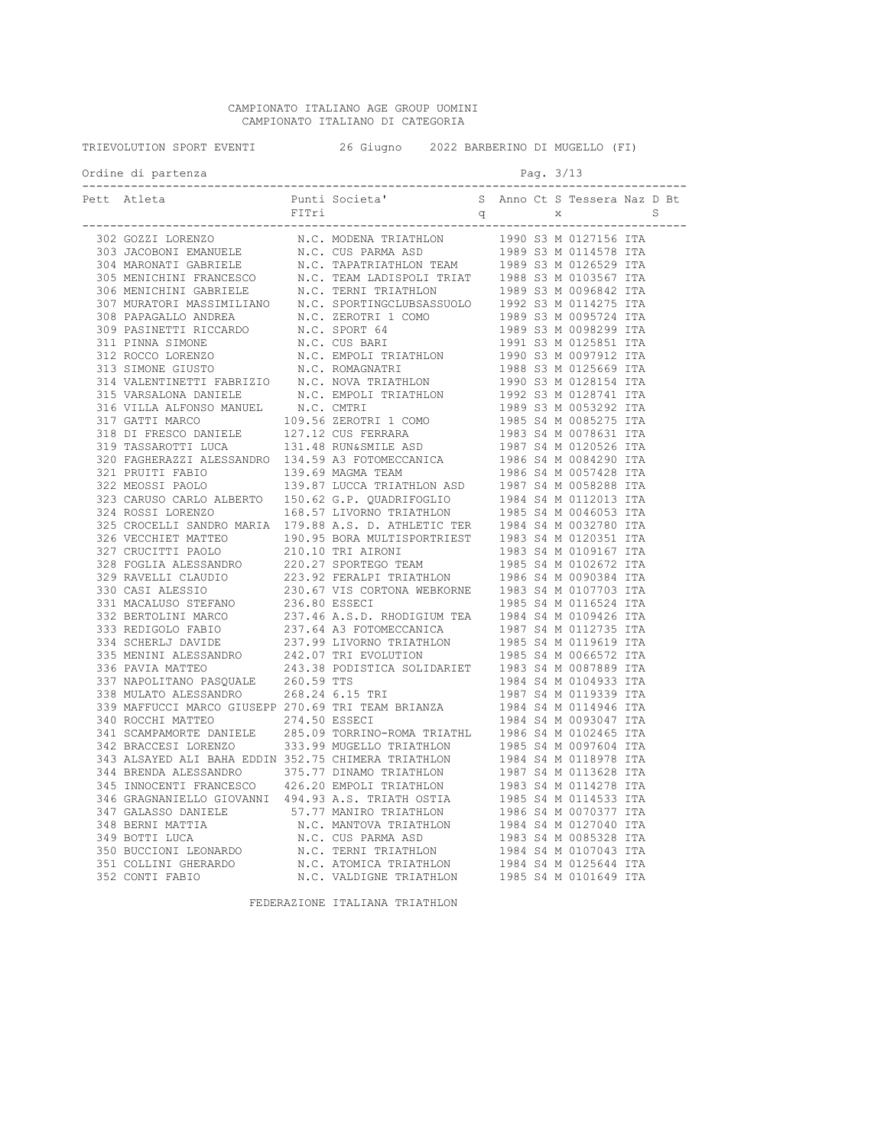| TRIEVOLUTION SPORT EVENTI |                    | 26 Giugno 2022 BARBERINO DI MUGELLO (FI) |  |  |           |  |  |  |
|---------------------------|--------------------|------------------------------------------|--|--|-----------|--|--|--|
|                           | Ordine di partenza |                                          |  |  | Pag. 3/13 |  |  |  |
|                           |                    |                                          |  |  |           |  |  |  |
|                           |                    |                                          |  |  |           |  |  |  |
|                           |                    |                                          |  |  |           |  |  |  |
|                           |                    |                                          |  |  |           |  |  |  |
|                           |                    |                                          |  |  |           |  |  |  |
|                           |                    |                                          |  |  |           |  |  |  |
|                           |                    |                                          |  |  |           |  |  |  |
|                           |                    |                                          |  |  |           |  |  |  |
|                           |                    |                                          |  |  |           |  |  |  |
|                           |                    |                                          |  |  |           |  |  |  |
|                           |                    |                                          |  |  |           |  |  |  |
|                           |                    |                                          |  |  |           |  |  |  |
|                           |                    |                                          |  |  |           |  |  |  |
|                           |                    |                                          |  |  |           |  |  |  |
|                           |                    |                                          |  |  |           |  |  |  |
|                           |                    |                                          |  |  |           |  |  |  |
|                           |                    |                                          |  |  |           |  |  |  |
|                           |                    |                                          |  |  |           |  |  |  |
|                           |                    |                                          |  |  |           |  |  |  |
|                           |                    |                                          |  |  |           |  |  |  |
|                           |                    |                                          |  |  |           |  |  |  |
|                           |                    |                                          |  |  |           |  |  |  |
|                           |                    |                                          |  |  |           |  |  |  |
|                           |                    |                                          |  |  |           |  |  |  |
|                           |                    |                                          |  |  |           |  |  |  |
|                           |                    |                                          |  |  |           |  |  |  |
|                           |                    |                                          |  |  |           |  |  |  |
|                           |                    |                                          |  |  |           |  |  |  |
|                           |                    |                                          |  |  |           |  |  |  |
|                           |                    |                                          |  |  |           |  |  |  |
|                           |                    |                                          |  |  |           |  |  |  |
|                           |                    |                                          |  |  |           |  |  |  |
|                           |                    |                                          |  |  |           |  |  |  |
|                           |                    |                                          |  |  |           |  |  |  |
|                           |                    |                                          |  |  |           |  |  |  |
|                           |                    |                                          |  |  |           |  |  |  |
|                           |                    |                                          |  |  |           |  |  |  |
|                           |                    |                                          |  |  |           |  |  |  |
|                           |                    |                                          |  |  |           |  |  |  |
|                           |                    |                                          |  |  |           |  |  |  |
|                           |                    |                                          |  |  |           |  |  |  |
|                           |                    |                                          |  |  |           |  |  |  |
|                           |                    |                                          |  |  |           |  |  |  |
|                           |                    |                                          |  |  |           |  |  |  |
|                           |                    |                                          |  |  |           |  |  |  |
|                           |                    |                                          |  |  |           |  |  |  |
|                           |                    |                                          |  |  |           |  |  |  |
|                           |                    |                                          |  |  |           |  |  |  |
|                           |                    |                                          |  |  |           |  |  |  |
|                           |                    |                                          |  |  |           |  |  |  |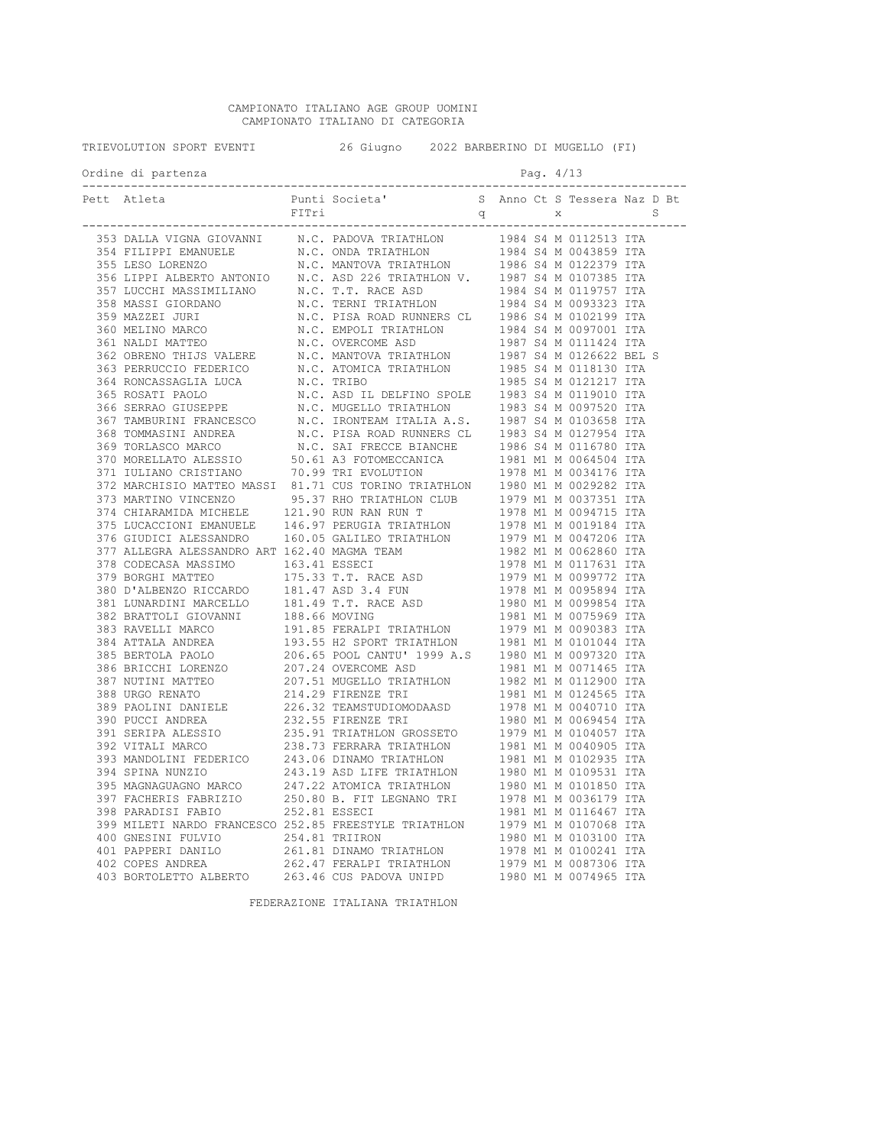| TRIEVOLUTION SPORT EVENTI |                                        |  | 26 Giugno 2022 BARBERINO DI MUGELLO (FI) |  |           |  |  |
|---------------------------|----------------------------------------|--|------------------------------------------|--|-----------|--|--|
|                           | Ordine di partenza<br>---------------- |  |                                          |  | Pag. 4/13 |  |  |
|                           | Pett Atleta                            |  |                                          |  |           |  |  |
|                           |                                        |  |                                          |  |           |  |  |
|                           |                                        |  |                                          |  |           |  |  |
|                           |                                        |  |                                          |  |           |  |  |
|                           |                                        |  |                                          |  |           |  |  |
|                           |                                        |  |                                          |  |           |  |  |
|                           |                                        |  |                                          |  |           |  |  |
|                           |                                        |  |                                          |  |           |  |  |
|                           |                                        |  |                                          |  |           |  |  |
|                           |                                        |  |                                          |  |           |  |  |
|                           |                                        |  |                                          |  |           |  |  |
|                           |                                        |  |                                          |  |           |  |  |
|                           |                                        |  |                                          |  |           |  |  |
|                           |                                        |  |                                          |  |           |  |  |
|                           |                                        |  |                                          |  |           |  |  |
|                           |                                        |  |                                          |  |           |  |  |
|                           |                                        |  |                                          |  |           |  |  |
|                           |                                        |  |                                          |  |           |  |  |
|                           |                                        |  |                                          |  |           |  |  |
|                           |                                        |  |                                          |  |           |  |  |
|                           |                                        |  |                                          |  |           |  |  |
|                           |                                        |  |                                          |  |           |  |  |
|                           |                                        |  |                                          |  |           |  |  |
|                           |                                        |  |                                          |  |           |  |  |
|                           |                                        |  |                                          |  |           |  |  |
|                           |                                        |  |                                          |  |           |  |  |
|                           |                                        |  |                                          |  |           |  |  |
|                           |                                        |  |                                          |  |           |  |  |
|                           |                                        |  |                                          |  |           |  |  |
|                           |                                        |  |                                          |  |           |  |  |
|                           |                                        |  |                                          |  |           |  |  |
|                           |                                        |  |                                          |  |           |  |  |
|                           |                                        |  |                                          |  |           |  |  |
|                           |                                        |  |                                          |  |           |  |  |
|                           |                                        |  |                                          |  |           |  |  |
|                           |                                        |  |                                          |  |           |  |  |
|                           |                                        |  |                                          |  |           |  |  |
|                           |                                        |  |                                          |  |           |  |  |
|                           |                                        |  |                                          |  |           |  |  |
|                           |                                        |  |                                          |  |           |  |  |
|                           |                                        |  |                                          |  |           |  |  |
|                           |                                        |  |                                          |  |           |  |  |
|                           |                                        |  |                                          |  |           |  |  |
|                           |                                        |  |                                          |  |           |  |  |
|                           |                                        |  |                                          |  |           |  |  |
|                           |                                        |  |                                          |  |           |  |  |
|                           |                                        |  |                                          |  |           |  |  |
|                           |                                        |  |                                          |  |           |  |  |
|                           |                                        |  |                                          |  |           |  |  |
|                           |                                        |  |                                          |  |           |  |  |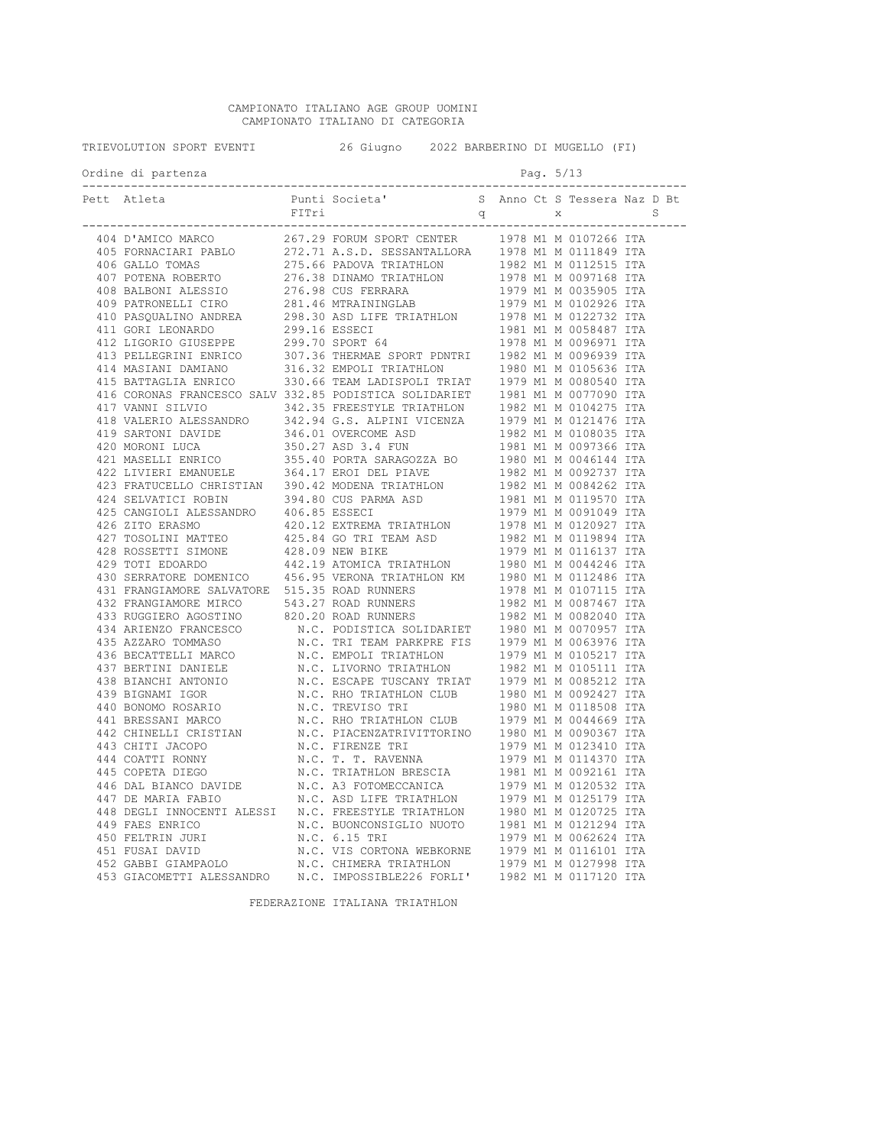| TRIEVOLUTION SPORT EVENTI 426 Giugno 2022 BARBERINO DI MUGELLO (FI) |  |           |  |  |
|---------------------------------------------------------------------|--|-----------|--|--|
| Ordine di partenza                                                  |  | Pag. 5/13 |  |  |
|                                                                     |  |           |  |  |
|                                                                     |  |           |  |  |
|                                                                     |  |           |  |  |
|                                                                     |  |           |  |  |
|                                                                     |  |           |  |  |
|                                                                     |  |           |  |  |
|                                                                     |  |           |  |  |
|                                                                     |  |           |  |  |
|                                                                     |  |           |  |  |
|                                                                     |  |           |  |  |
|                                                                     |  |           |  |  |
|                                                                     |  |           |  |  |
|                                                                     |  |           |  |  |
|                                                                     |  |           |  |  |
|                                                                     |  |           |  |  |
|                                                                     |  |           |  |  |
|                                                                     |  |           |  |  |
|                                                                     |  |           |  |  |
|                                                                     |  |           |  |  |
|                                                                     |  |           |  |  |
|                                                                     |  |           |  |  |
|                                                                     |  |           |  |  |
|                                                                     |  |           |  |  |
|                                                                     |  |           |  |  |
|                                                                     |  |           |  |  |
|                                                                     |  |           |  |  |
|                                                                     |  |           |  |  |
|                                                                     |  |           |  |  |
|                                                                     |  |           |  |  |
|                                                                     |  |           |  |  |
|                                                                     |  |           |  |  |
|                                                                     |  |           |  |  |
|                                                                     |  |           |  |  |
|                                                                     |  |           |  |  |
|                                                                     |  |           |  |  |
|                                                                     |  |           |  |  |
|                                                                     |  |           |  |  |
|                                                                     |  |           |  |  |
|                                                                     |  |           |  |  |
|                                                                     |  |           |  |  |
|                                                                     |  |           |  |  |
|                                                                     |  |           |  |  |
|                                                                     |  |           |  |  |
|                                                                     |  |           |  |  |
|                                                                     |  |           |  |  |
|                                                                     |  |           |  |  |
|                                                                     |  |           |  |  |
|                                                                     |  |           |  |  |
|                                                                     |  |           |  |  |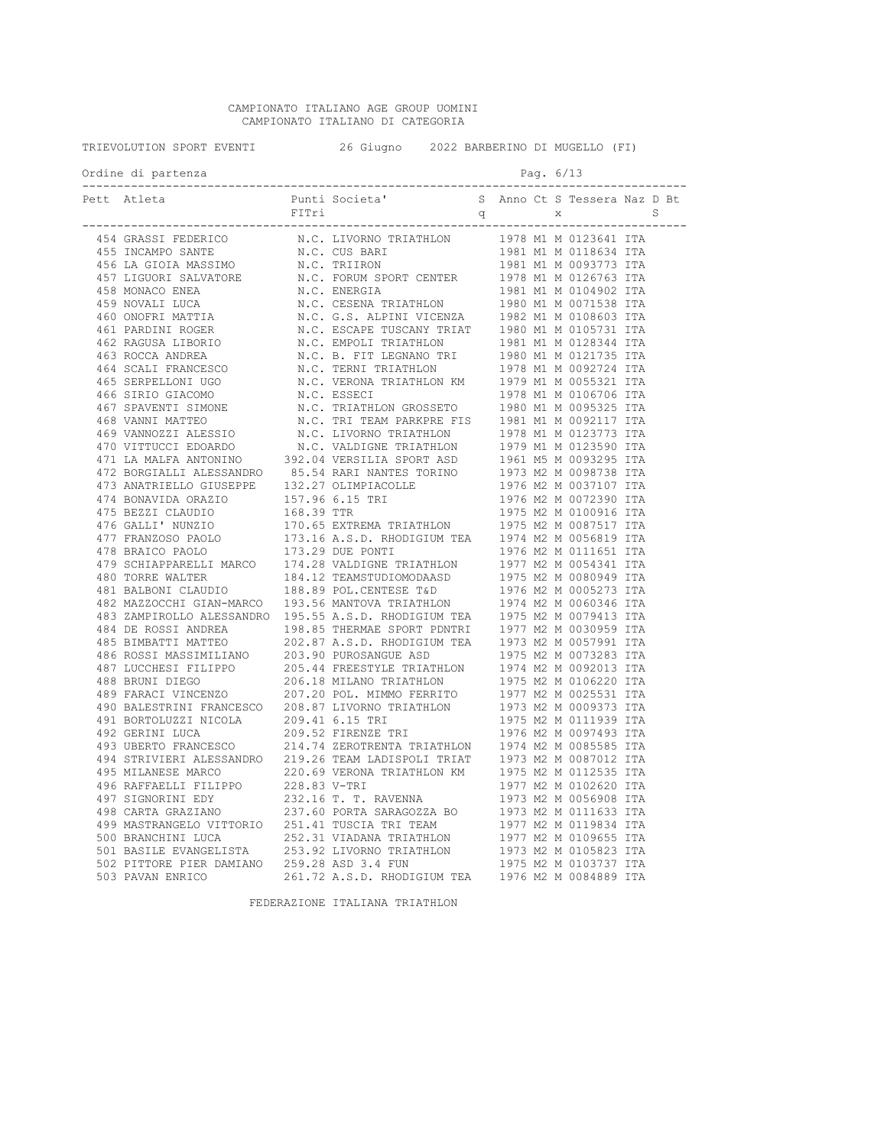| TRIEVOLUTION SPORT EVENTI              | 26 Giugno 2022 BARBERINO DI MUGELLO (FI) |  |           |  |  |
|----------------------------------------|------------------------------------------|--|-----------|--|--|
| Ordine di partenza<br>---------------- |                                          |  | Pag. 6/13 |  |  |
| Pett Atleta                            |                                          |  |           |  |  |
|                                        |                                          |  |           |  |  |
|                                        |                                          |  |           |  |  |
|                                        |                                          |  |           |  |  |
|                                        |                                          |  |           |  |  |
|                                        |                                          |  |           |  |  |
|                                        |                                          |  |           |  |  |
|                                        |                                          |  |           |  |  |
|                                        |                                          |  |           |  |  |
|                                        |                                          |  |           |  |  |
|                                        |                                          |  |           |  |  |
|                                        |                                          |  |           |  |  |
|                                        |                                          |  |           |  |  |
|                                        |                                          |  |           |  |  |
|                                        |                                          |  |           |  |  |
|                                        |                                          |  |           |  |  |
|                                        |                                          |  |           |  |  |
|                                        |                                          |  |           |  |  |
|                                        |                                          |  |           |  |  |
|                                        |                                          |  |           |  |  |
|                                        |                                          |  |           |  |  |
|                                        |                                          |  |           |  |  |
|                                        |                                          |  |           |  |  |
|                                        |                                          |  |           |  |  |
|                                        |                                          |  |           |  |  |
|                                        |                                          |  |           |  |  |
|                                        |                                          |  |           |  |  |
|                                        |                                          |  |           |  |  |
|                                        |                                          |  |           |  |  |
|                                        |                                          |  |           |  |  |
|                                        |                                          |  |           |  |  |
|                                        |                                          |  |           |  |  |
|                                        |                                          |  |           |  |  |
|                                        |                                          |  |           |  |  |
|                                        |                                          |  |           |  |  |
|                                        |                                          |  |           |  |  |
|                                        |                                          |  |           |  |  |
|                                        |                                          |  |           |  |  |
|                                        |                                          |  |           |  |  |
|                                        |                                          |  |           |  |  |
|                                        |                                          |  |           |  |  |
|                                        |                                          |  |           |  |  |
|                                        |                                          |  |           |  |  |
|                                        |                                          |  |           |  |  |
|                                        |                                          |  |           |  |  |
|                                        |                                          |  |           |  |  |
|                                        |                                          |  |           |  |  |
|                                        |                                          |  |           |  |  |
|                                        |                                          |  |           |  |  |
|                                        |                                          |  |           |  |  |
|                                        |                                          |  |           |  |  |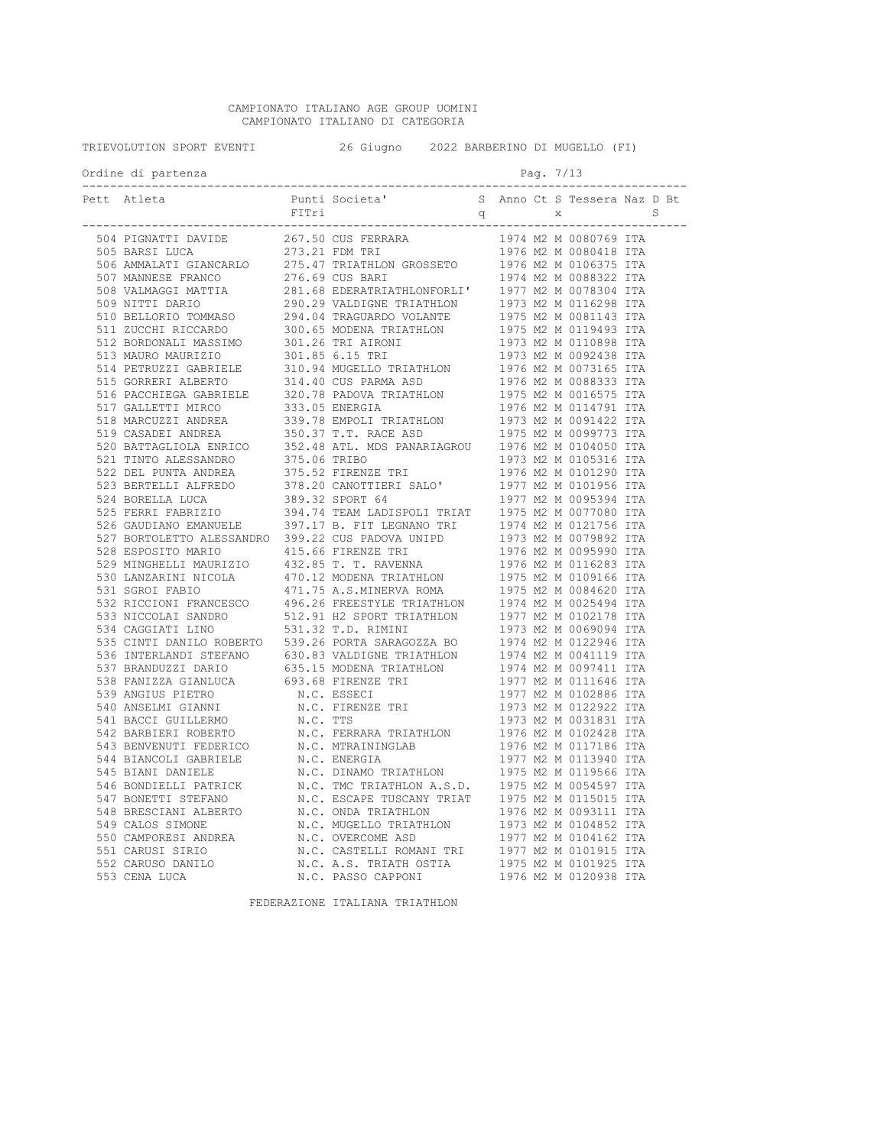| TRIEVOLUTION SPORT EVENTI <a>&gt;</a> 26 Giugno <a>&gt;</a> 2022 BARBERINO DI MUGELLO (FI) |                                                                                                                                                                                                                                                                                                    |  |  |  |           |  |  |
|--------------------------------------------------------------------------------------------|----------------------------------------------------------------------------------------------------------------------------------------------------------------------------------------------------------------------------------------------------------------------------------------------------|--|--|--|-----------|--|--|
|                                                                                            | Ordine di partenza<br>-----------------                                                                                                                                                                                                                                                            |  |  |  | Pag. 7/13 |  |  |
|                                                                                            | Pett Atleta<br>$\begin{tabular}{cccccccc} {\bf 0.15 & 0.48 & 0.48 & 0.48 & 0.48 & 0.48 & 0.48 & 0.48 & 0.48 & 0.48 & 0.48 & 0.48 & 0.48 & 0.48 & 0.48 & 0.48 & 0.48 & 0.48 & 0.48 & 0.48 & 0.48 & 0.48 & 0.48 & 0.48 & 0.48 & 0.48 & 0.48 & 0.48 & 0.48 & 0.48 & 0.48 & 0.48 & 0.48 & 0.48 & 0.48$ |  |  |  |           |  |  |
|                                                                                            |                                                                                                                                                                                                                                                                                                    |  |  |  |           |  |  |
|                                                                                            |                                                                                                                                                                                                                                                                                                    |  |  |  |           |  |  |
|                                                                                            |                                                                                                                                                                                                                                                                                                    |  |  |  |           |  |  |
|                                                                                            |                                                                                                                                                                                                                                                                                                    |  |  |  |           |  |  |
|                                                                                            |                                                                                                                                                                                                                                                                                                    |  |  |  |           |  |  |
|                                                                                            |                                                                                                                                                                                                                                                                                                    |  |  |  |           |  |  |
|                                                                                            |                                                                                                                                                                                                                                                                                                    |  |  |  |           |  |  |
|                                                                                            |                                                                                                                                                                                                                                                                                                    |  |  |  |           |  |  |
|                                                                                            |                                                                                                                                                                                                                                                                                                    |  |  |  |           |  |  |
|                                                                                            |                                                                                                                                                                                                                                                                                                    |  |  |  |           |  |  |
|                                                                                            |                                                                                                                                                                                                                                                                                                    |  |  |  |           |  |  |
|                                                                                            |                                                                                                                                                                                                                                                                                                    |  |  |  |           |  |  |
|                                                                                            |                                                                                                                                                                                                                                                                                                    |  |  |  |           |  |  |
|                                                                                            |                                                                                                                                                                                                                                                                                                    |  |  |  |           |  |  |
|                                                                                            |                                                                                                                                                                                                                                                                                                    |  |  |  |           |  |  |
|                                                                                            |                                                                                                                                                                                                                                                                                                    |  |  |  |           |  |  |
|                                                                                            |                                                                                                                                                                                                                                                                                                    |  |  |  |           |  |  |
|                                                                                            |                                                                                                                                                                                                                                                                                                    |  |  |  |           |  |  |
|                                                                                            |                                                                                                                                                                                                                                                                                                    |  |  |  |           |  |  |
|                                                                                            |                                                                                                                                                                                                                                                                                                    |  |  |  |           |  |  |
|                                                                                            |                                                                                                                                                                                                                                                                                                    |  |  |  |           |  |  |
|                                                                                            |                                                                                                                                                                                                                                                                                                    |  |  |  |           |  |  |
|                                                                                            |                                                                                                                                                                                                                                                                                                    |  |  |  |           |  |  |
|                                                                                            |                                                                                                                                                                                                                                                                                                    |  |  |  |           |  |  |
|                                                                                            |                                                                                                                                                                                                                                                                                                    |  |  |  |           |  |  |
|                                                                                            |                                                                                                                                                                                                                                                                                                    |  |  |  |           |  |  |
|                                                                                            |                                                                                                                                                                                                                                                                                                    |  |  |  |           |  |  |
|                                                                                            |                                                                                                                                                                                                                                                                                                    |  |  |  |           |  |  |
|                                                                                            |                                                                                                                                                                                                                                                                                                    |  |  |  |           |  |  |
|                                                                                            |                                                                                                                                                                                                                                                                                                    |  |  |  |           |  |  |
|                                                                                            |                                                                                                                                                                                                                                                                                                    |  |  |  |           |  |  |
|                                                                                            |                                                                                                                                                                                                                                                                                                    |  |  |  |           |  |  |
|                                                                                            |                                                                                                                                                                                                                                                                                                    |  |  |  |           |  |  |
|                                                                                            |                                                                                                                                                                                                                                                                                                    |  |  |  |           |  |  |
|                                                                                            |                                                                                                                                                                                                                                                                                                    |  |  |  |           |  |  |
|                                                                                            |                                                                                                                                                                                                                                                                                                    |  |  |  |           |  |  |
|                                                                                            |                                                                                                                                                                                                                                                                                                    |  |  |  |           |  |  |
|                                                                                            |                                                                                                                                                                                                                                                                                                    |  |  |  |           |  |  |
|                                                                                            |                                                                                                                                                                                                                                                                                                    |  |  |  |           |  |  |
|                                                                                            |                                                                                                                                                                                                                                                                                                    |  |  |  |           |  |  |
|                                                                                            |                                                                                                                                                                                                                                                                                                    |  |  |  |           |  |  |
|                                                                                            |                                                                                                                                                                                                                                                                                                    |  |  |  |           |  |  |
|                                                                                            |                                                                                                                                                                                                                                                                                                    |  |  |  |           |  |  |
|                                                                                            |                                                                                                                                                                                                                                                                                                    |  |  |  |           |  |  |
|                                                                                            |                                                                                                                                                                                                                                                                                                    |  |  |  |           |  |  |
|                                                                                            |                                                                                                                                                                                                                                                                                                    |  |  |  |           |  |  |
|                                                                                            |                                                                                                                                                                                                                                                                                                    |  |  |  |           |  |  |
|                                                                                            |                                                                                                                                                                                                                                                                                                    |  |  |  |           |  |  |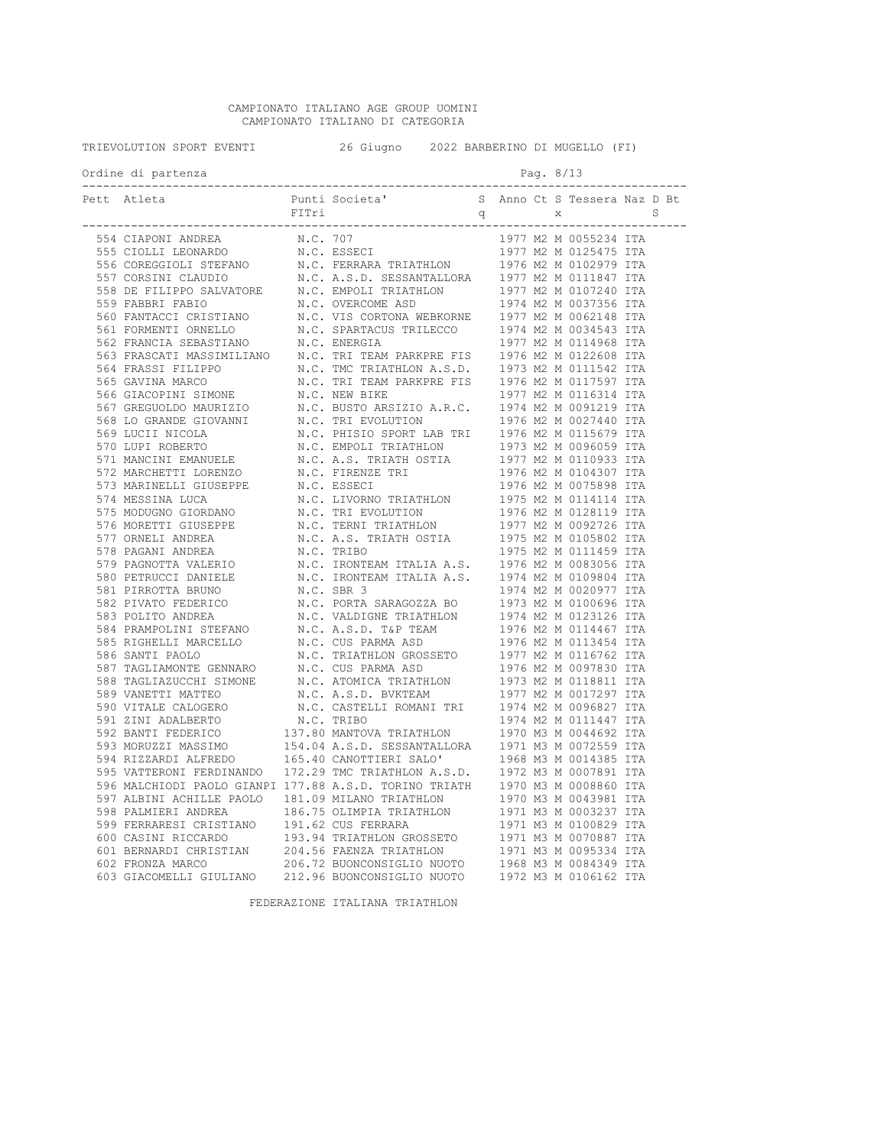|  | Ordine di partenza                                     |  |                             |  | Pag. 8/13 |         |                       |  |  |
|--|--------------------------------------------------------|--|-----------------------------|--|-----------|---------|-----------------------|--|--|
|  | ______________________________                         |  | ___________________________ |  |           | ------- |                       |  |  |
|  |                                                        |  |                             |  |           |         |                       |  |  |
|  |                                                        |  |                             |  |           |         |                       |  |  |
|  |                                                        |  |                             |  |           |         |                       |  |  |
|  |                                                        |  |                             |  |           |         |                       |  |  |
|  |                                                        |  |                             |  |           |         |                       |  |  |
|  |                                                        |  |                             |  |           |         |                       |  |  |
|  |                                                        |  |                             |  |           |         |                       |  |  |
|  |                                                        |  |                             |  |           |         |                       |  |  |
|  |                                                        |  |                             |  |           |         |                       |  |  |
|  |                                                        |  |                             |  |           |         |                       |  |  |
|  |                                                        |  |                             |  |           |         |                       |  |  |
|  |                                                        |  |                             |  |           |         |                       |  |  |
|  |                                                        |  |                             |  |           |         |                       |  |  |
|  |                                                        |  |                             |  |           |         |                       |  |  |
|  |                                                        |  |                             |  |           |         |                       |  |  |
|  |                                                        |  |                             |  |           |         |                       |  |  |
|  |                                                        |  |                             |  |           |         |                       |  |  |
|  |                                                        |  |                             |  |           |         |                       |  |  |
|  |                                                        |  |                             |  |           |         |                       |  |  |
|  |                                                        |  |                             |  |           |         |                       |  |  |
|  |                                                        |  |                             |  |           |         |                       |  |  |
|  |                                                        |  |                             |  |           |         |                       |  |  |
|  |                                                        |  |                             |  |           |         |                       |  |  |
|  |                                                        |  |                             |  |           |         |                       |  |  |
|  |                                                        |  |                             |  |           |         |                       |  |  |
|  |                                                        |  |                             |  |           |         |                       |  |  |
|  |                                                        |  |                             |  |           |         |                       |  |  |
|  |                                                        |  |                             |  |           |         |                       |  |  |
|  |                                                        |  |                             |  |           |         |                       |  |  |
|  |                                                        |  |                             |  |           |         |                       |  |  |
|  |                                                        |  |                             |  |           |         |                       |  |  |
|  |                                                        |  |                             |  |           |         |                       |  |  |
|  |                                                        |  |                             |  |           |         |                       |  |  |
|  |                                                        |  |                             |  |           |         |                       |  |  |
|  |                                                        |  |                             |  |           |         |                       |  |  |
|  |                                                        |  |                             |  |           |         |                       |  |  |
|  |                                                        |  |                             |  |           |         |                       |  |  |
|  |                                                        |  |                             |  |           |         |                       |  |  |
|  |                                                        |  |                             |  |           |         |                       |  |  |
|  |                                                        |  |                             |  |           |         |                       |  |  |
|  |                                                        |  |                             |  |           |         |                       |  |  |
|  | 596 MALCHIODI PAOLO GIANPI 177.88 A.S.D. TORINO TRIATH |  |                             |  |           |         | 1970 M3 M 0008860 ITA |  |  |
|  | 597 ALBINI ACHILLE PAOLO                               |  | 181.09 MILANO TRIATHLON     |  |           |         | 1970 M3 M 0043981 ITA |  |  |
|  | 598 PALMIERI ANDREA                                    |  | 186.75 OLIMPIA TRIATHLON    |  |           |         | 1971 M3 M 0003237 ITA |  |  |
|  | 599 FERRARESI CRISTIANO                                |  | 191.62 CUS FERRARA          |  |           |         | 1971 M3 M 0100829 ITA |  |  |
|  | 600 CASINI RICCARDO                                    |  | 193.94 TRIATHLON GROSSETO   |  |           |         | 1971 M3 M 0070887 ITA |  |  |
|  | 601 BERNARDI CHRISTIAN<br>602 FRONZA MARCO             |  | 204.56 FAENZA TRIATHLON     |  |           |         | 1971 M3 M 0095334 ITA |  |  |
|  |                                                        |  | 206.72 BUONCONSIGLIO NUOTO  |  |           |         | 1968 M3 M 0084349 ITA |  |  |
|  | 603 GIACOMELLI GIULIANO                                |  | 212.96 BUONCONSIGLIO NUOTO  |  |           |         | 1972 M3 M 0106162 ITA |  |  |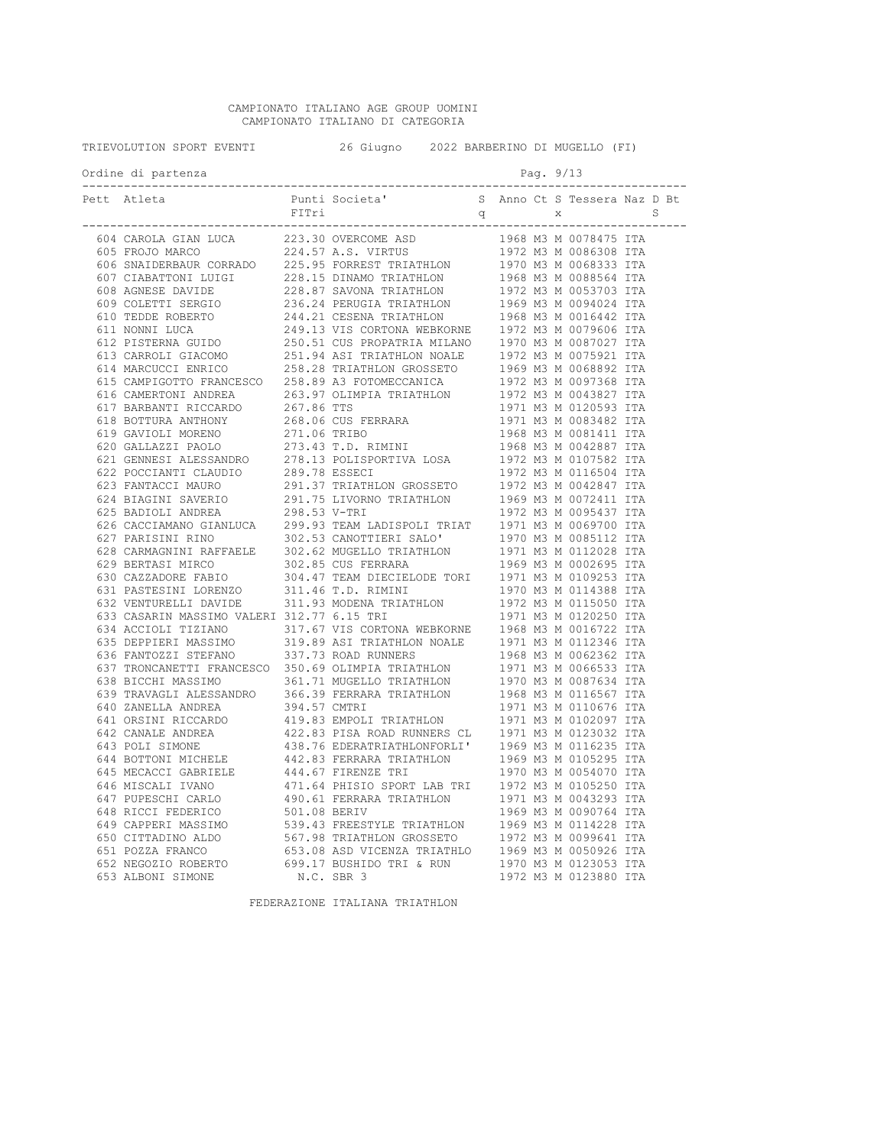| TRIEVOLUTION SPORT EVENTI |                                                                                                                                                                                                                                                 | 26 Giugno 2022 BARBERINO DI MUGELLO (FI) |                |  |           |                                       |  |  |
|---------------------------|-------------------------------------------------------------------------------------------------------------------------------------------------------------------------------------------------------------------------------------------------|------------------------------------------|----------------|--|-----------|---------------------------------------|--|--|
|                           | Ordine di partenza                                                                                                                                                                                                                              |                                          |                |  | Pag. 9/13 |                                       |  |  |
|                           | Pett Atleta<br>et Attes. Function and Societies (Matter 2002)<br>$\mu$ 2002) 2003 (1913) 2003 (1914) 2003 (1914) 2003 (1914) 2003 (1915) 2003 (1916) 2003 (1916) 2003 (1916) 2003 (1916) 2003 (1916) 2003 (1916) 2003 (1916) 2003 (1916) 2003 ( | FITri                                    | Punti Societa' |  |           | S Anno Ct S Tessera Naz D Bt<br>q x S |  |  |
|                           |                                                                                                                                                                                                                                                 |                                          |                |  |           |                                       |  |  |
|                           |                                                                                                                                                                                                                                                 |                                          |                |  |           |                                       |  |  |
|                           |                                                                                                                                                                                                                                                 |                                          |                |  |           |                                       |  |  |
|                           |                                                                                                                                                                                                                                                 |                                          |                |  |           |                                       |  |  |
|                           |                                                                                                                                                                                                                                                 |                                          |                |  |           |                                       |  |  |
|                           |                                                                                                                                                                                                                                                 |                                          |                |  |           |                                       |  |  |
|                           |                                                                                                                                                                                                                                                 |                                          |                |  |           |                                       |  |  |
|                           |                                                                                                                                                                                                                                                 |                                          |                |  |           |                                       |  |  |
|                           |                                                                                                                                                                                                                                                 |                                          |                |  |           |                                       |  |  |
|                           |                                                                                                                                                                                                                                                 |                                          |                |  |           |                                       |  |  |
|                           |                                                                                                                                                                                                                                                 |                                          |                |  |           |                                       |  |  |
|                           |                                                                                                                                                                                                                                                 |                                          |                |  |           |                                       |  |  |
|                           |                                                                                                                                                                                                                                                 |                                          |                |  |           |                                       |  |  |
|                           |                                                                                                                                                                                                                                                 |                                          |                |  |           |                                       |  |  |
|                           |                                                                                                                                                                                                                                                 |                                          |                |  |           |                                       |  |  |
|                           |                                                                                                                                                                                                                                                 |                                          |                |  |           |                                       |  |  |
|                           |                                                                                                                                                                                                                                                 |                                          |                |  |           |                                       |  |  |
|                           |                                                                                                                                                                                                                                                 |                                          |                |  |           |                                       |  |  |
|                           |                                                                                                                                                                                                                                                 |                                          |                |  |           |                                       |  |  |
|                           |                                                                                                                                                                                                                                                 |                                          |                |  |           |                                       |  |  |
|                           |                                                                                                                                                                                                                                                 |                                          |                |  |           |                                       |  |  |
|                           |                                                                                                                                                                                                                                                 |                                          |                |  |           |                                       |  |  |
|                           |                                                                                                                                                                                                                                                 |                                          |                |  |           |                                       |  |  |
|                           |                                                                                                                                                                                                                                                 |                                          |                |  |           |                                       |  |  |
|                           |                                                                                                                                                                                                                                                 |                                          |                |  |           |                                       |  |  |
|                           |                                                                                                                                                                                                                                                 |                                          |                |  |           |                                       |  |  |
|                           |                                                                                                                                                                                                                                                 |                                          |                |  |           |                                       |  |  |
|                           |                                                                                                                                                                                                                                                 |                                          |                |  |           |                                       |  |  |
|                           |                                                                                                                                                                                                                                                 |                                          |                |  |           |                                       |  |  |
|                           |                                                                                                                                                                                                                                                 |                                          |                |  |           |                                       |  |  |
|                           |                                                                                                                                                                                                                                                 |                                          |                |  |           |                                       |  |  |
|                           |                                                                                                                                                                                                                                                 |                                          |                |  |           |                                       |  |  |
|                           |                                                                                                                                                                                                                                                 |                                          |                |  |           |                                       |  |  |
|                           |                                                                                                                                                                                                                                                 |                                          |                |  |           |                                       |  |  |
|                           |                                                                                                                                                                                                                                                 |                                          |                |  |           |                                       |  |  |
|                           |                                                                                                                                                                                                                                                 |                                          |                |  |           |                                       |  |  |
|                           |                                                                                                                                                                                                                                                 |                                          |                |  |           |                                       |  |  |
|                           |                                                                                                                                                                                                                                                 |                                          |                |  |           |                                       |  |  |
|                           |                                                                                                                                                                                                                                                 |                                          |                |  |           |                                       |  |  |
|                           |                                                                                                                                                                                                                                                 |                                          |                |  |           |                                       |  |  |
|                           |                                                                                                                                                                                                                                                 |                                          |                |  |           |                                       |  |  |
|                           |                                                                                                                                                                                                                                                 |                                          |                |  |           |                                       |  |  |
|                           |                                                                                                                                                                                                                                                 |                                          |                |  |           |                                       |  |  |
|                           |                                                                                                                                                                                                                                                 |                                          |                |  |           |                                       |  |  |
|                           |                                                                                                                                                                                                                                                 |                                          |                |  |           |                                       |  |  |
|                           |                                                                                                                                                                                                                                                 |                                          |                |  |           |                                       |  |  |
|                           |                                                                                                                                                                                                                                                 |                                          |                |  |           |                                       |  |  |
|                           |                                                                                                                                                                                                                                                 |                                          |                |  |           |                                       |  |  |
|                           |                                                                                                                                                                                                                                                 |                                          |                |  |           |                                       |  |  |
|                           |                                                                                                                                                                                                                                                 |                                          |                |  |           |                                       |  |  |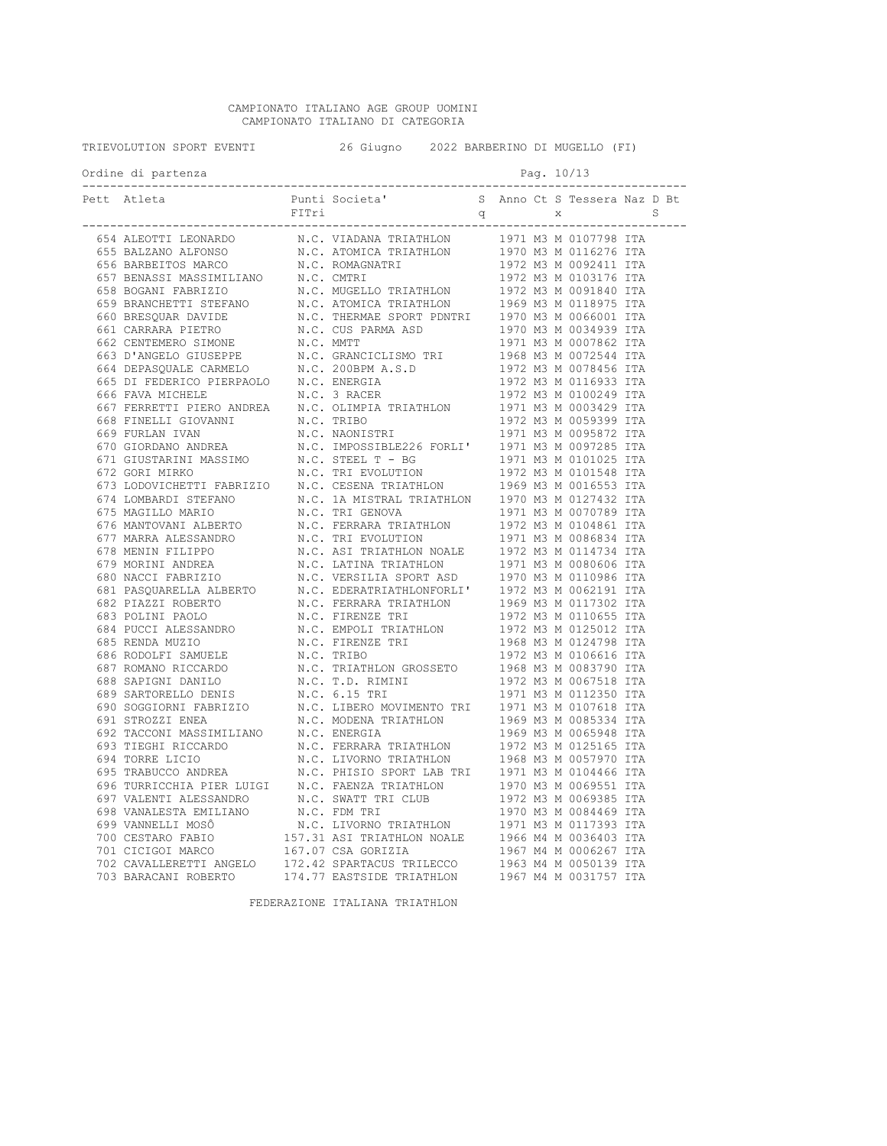| TRIEVOLUTION SPORT EVENTI |                                                                                                                                                                                                                                                                                                | 26 Giugno 2022 BARBERINO DI MUGELLO (FI) |  |  |  |            |  |
|---------------------------|------------------------------------------------------------------------------------------------------------------------------------------------------------------------------------------------------------------------------------------------------------------------------------------------|------------------------------------------|--|--|--|------------|--|
|                           | Ordine di partenza<br>-----------------                                                                                                                                                                                                                                                        |                                          |  |  |  | Pag. 10/13 |  |
|                           | Pett Atleta<br>$\begin{tabular}{cccccccc} {\bf 0.15 & 0.016 & 0.016 & 0.016 & 0.016 & 0.016 & 0.016 & 0.016 & 0.016 & 0.016 & 0.016 & 0.016 & 0.016 & 0.016 & 0.016 & 0.016 & 0.016 & 0.016 & 0.016 & 0.016 & 0.016 & 0.016 & 0.016 & 0.016 & 0.016 & 0.016 & 0.016 & 0.016 & 0.016 & 0.016 &$ |                                          |  |  |  |            |  |
|                           |                                                                                                                                                                                                                                                                                                |                                          |  |  |  |            |  |
|                           |                                                                                                                                                                                                                                                                                                |                                          |  |  |  |            |  |
|                           |                                                                                                                                                                                                                                                                                                |                                          |  |  |  |            |  |
|                           |                                                                                                                                                                                                                                                                                                |                                          |  |  |  |            |  |
|                           |                                                                                                                                                                                                                                                                                                |                                          |  |  |  |            |  |
|                           |                                                                                                                                                                                                                                                                                                |                                          |  |  |  |            |  |
|                           |                                                                                                                                                                                                                                                                                                |                                          |  |  |  |            |  |
|                           |                                                                                                                                                                                                                                                                                                |                                          |  |  |  |            |  |
|                           |                                                                                                                                                                                                                                                                                                |                                          |  |  |  |            |  |
|                           |                                                                                                                                                                                                                                                                                                |                                          |  |  |  |            |  |
|                           |                                                                                                                                                                                                                                                                                                |                                          |  |  |  |            |  |
|                           |                                                                                                                                                                                                                                                                                                |                                          |  |  |  |            |  |
|                           |                                                                                                                                                                                                                                                                                                |                                          |  |  |  |            |  |
|                           |                                                                                                                                                                                                                                                                                                |                                          |  |  |  |            |  |
|                           |                                                                                                                                                                                                                                                                                                |                                          |  |  |  |            |  |
|                           |                                                                                                                                                                                                                                                                                                |                                          |  |  |  |            |  |
|                           |                                                                                                                                                                                                                                                                                                |                                          |  |  |  |            |  |
|                           |                                                                                                                                                                                                                                                                                                |                                          |  |  |  |            |  |
|                           |                                                                                                                                                                                                                                                                                                |                                          |  |  |  |            |  |
|                           |                                                                                                                                                                                                                                                                                                |                                          |  |  |  |            |  |
|                           |                                                                                                                                                                                                                                                                                                |                                          |  |  |  |            |  |
|                           |                                                                                                                                                                                                                                                                                                |                                          |  |  |  |            |  |
|                           |                                                                                                                                                                                                                                                                                                |                                          |  |  |  |            |  |
|                           |                                                                                                                                                                                                                                                                                                |                                          |  |  |  |            |  |
|                           |                                                                                                                                                                                                                                                                                                |                                          |  |  |  |            |  |
|                           |                                                                                                                                                                                                                                                                                                |                                          |  |  |  |            |  |
|                           |                                                                                                                                                                                                                                                                                                |                                          |  |  |  |            |  |
|                           |                                                                                                                                                                                                                                                                                                |                                          |  |  |  |            |  |
|                           |                                                                                                                                                                                                                                                                                                |                                          |  |  |  |            |  |
|                           |                                                                                                                                                                                                                                                                                                |                                          |  |  |  |            |  |
|                           |                                                                                                                                                                                                                                                                                                |                                          |  |  |  |            |  |
|                           |                                                                                                                                                                                                                                                                                                |                                          |  |  |  |            |  |
|                           |                                                                                                                                                                                                                                                                                                |                                          |  |  |  |            |  |
|                           |                                                                                                                                                                                                                                                                                                |                                          |  |  |  |            |  |
|                           |                                                                                                                                                                                                                                                                                                |                                          |  |  |  |            |  |
|                           |                                                                                                                                                                                                                                                                                                |                                          |  |  |  |            |  |
|                           |                                                                                                                                                                                                                                                                                                |                                          |  |  |  |            |  |
|                           |                                                                                                                                                                                                                                                                                                |                                          |  |  |  |            |  |
|                           |                                                                                                                                                                                                                                                                                                |                                          |  |  |  |            |  |
|                           |                                                                                                                                                                                                                                                                                                |                                          |  |  |  |            |  |
|                           |                                                                                                                                                                                                                                                                                                |                                          |  |  |  |            |  |
|                           |                                                                                                                                                                                                                                                                                                |                                          |  |  |  |            |  |
|                           |                                                                                                                                                                                                                                                                                                |                                          |  |  |  |            |  |
|                           |                                                                                                                                                                                                                                                                                                |                                          |  |  |  |            |  |
|                           |                                                                                                                                                                                                                                                                                                |                                          |  |  |  |            |  |
|                           |                                                                                                                                                                                                                                                                                                |                                          |  |  |  |            |  |
|                           |                                                                                                                                                                                                                                                                                                |                                          |  |  |  |            |  |
|                           |                                                                                                                                                                                                                                                                                                |                                          |  |  |  |            |  |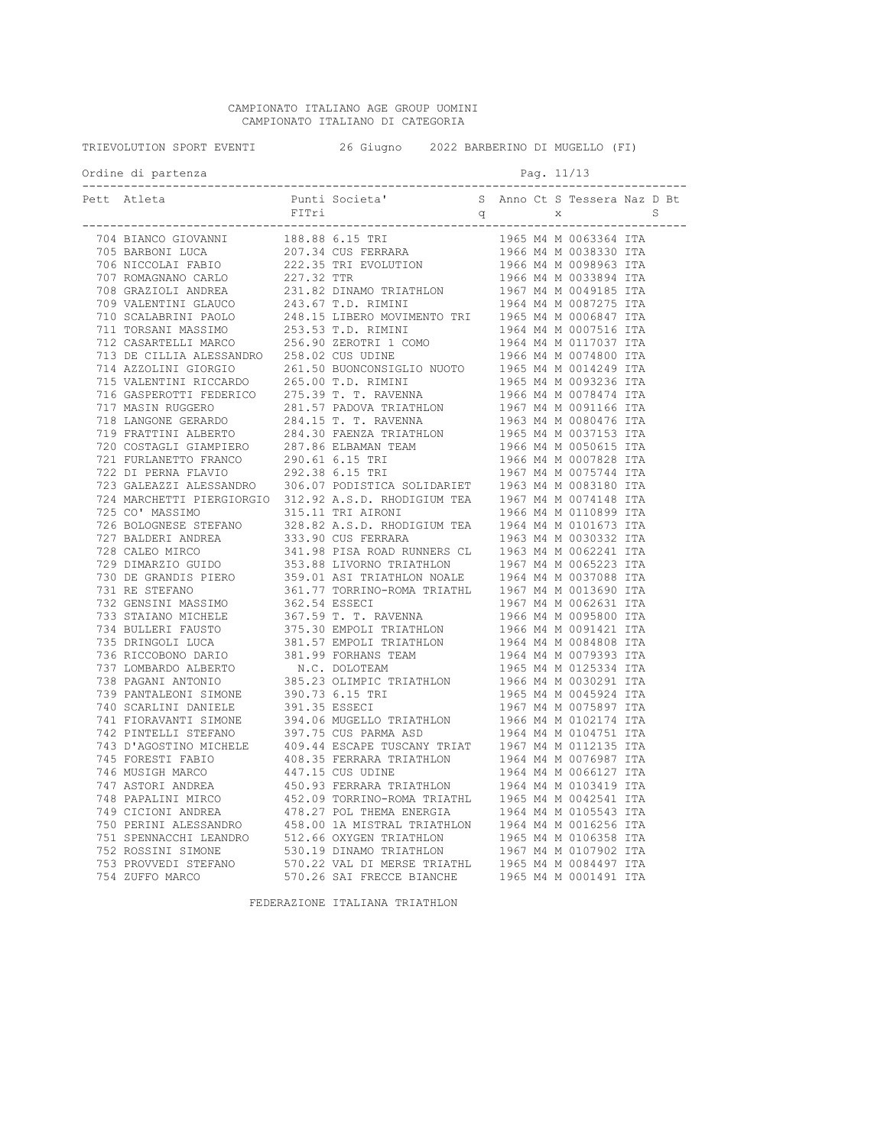| TRIEVOLUTION SPORT EVENTI | 26 Giugno 2022 BARBERINO DI MUGELLO (FI) |  |            |  |  |  |
|---------------------------|------------------------------------------|--|------------|--|--|--|
| Ordine di partenza        |                                          |  | Pag. 11/13 |  |  |  |
|                           |                                          |  |            |  |  |  |
|                           |                                          |  |            |  |  |  |
|                           |                                          |  |            |  |  |  |
|                           |                                          |  |            |  |  |  |
|                           |                                          |  |            |  |  |  |
|                           |                                          |  |            |  |  |  |
|                           |                                          |  |            |  |  |  |
|                           |                                          |  |            |  |  |  |
|                           |                                          |  |            |  |  |  |
|                           |                                          |  |            |  |  |  |
|                           |                                          |  |            |  |  |  |
|                           |                                          |  |            |  |  |  |
|                           |                                          |  |            |  |  |  |
|                           |                                          |  |            |  |  |  |
|                           |                                          |  |            |  |  |  |
|                           |                                          |  |            |  |  |  |
|                           |                                          |  |            |  |  |  |
|                           |                                          |  |            |  |  |  |
|                           |                                          |  |            |  |  |  |
|                           |                                          |  |            |  |  |  |
|                           |                                          |  |            |  |  |  |
|                           |                                          |  |            |  |  |  |
|                           |                                          |  |            |  |  |  |
|                           |                                          |  |            |  |  |  |
|                           |                                          |  |            |  |  |  |
|                           |                                          |  |            |  |  |  |
|                           |                                          |  |            |  |  |  |
|                           |                                          |  |            |  |  |  |
|                           |                                          |  |            |  |  |  |
|                           |                                          |  |            |  |  |  |
|                           |                                          |  |            |  |  |  |
|                           |                                          |  |            |  |  |  |
|                           |                                          |  |            |  |  |  |
|                           |                                          |  |            |  |  |  |
|                           |                                          |  |            |  |  |  |
|                           |                                          |  |            |  |  |  |
|                           |                                          |  |            |  |  |  |
|                           |                                          |  |            |  |  |  |
|                           |                                          |  |            |  |  |  |
|                           |                                          |  |            |  |  |  |
|                           |                                          |  |            |  |  |  |
|                           |                                          |  |            |  |  |  |
|                           |                                          |  |            |  |  |  |
|                           |                                          |  |            |  |  |  |
|                           |                                          |  |            |  |  |  |
|                           |                                          |  |            |  |  |  |
|                           |                                          |  |            |  |  |  |
|                           |                                          |  |            |  |  |  |
|                           |                                          |  |            |  |  |  |
|                           |                                          |  |            |  |  |  |
|                           |                                          |  |            |  |  |  |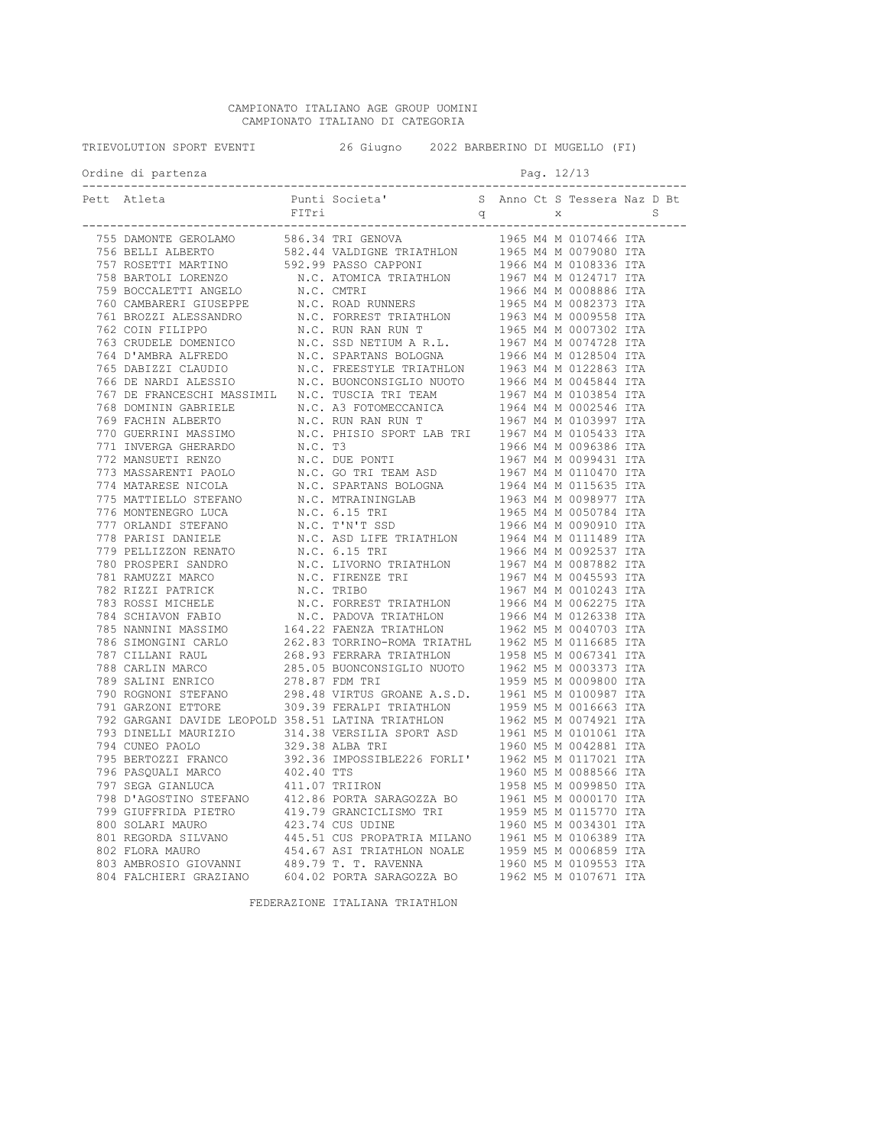| TRIEVOLUTION SPORT EVENTI | 26 Giugno 2022 BARBERINO DI MUGELLO (FI) |  |  |            |  |
|---------------------------|------------------------------------------|--|--|------------|--|
| Ordine di partenza        |                                          |  |  | Pag. 12/13 |  |
| Pett Atleta               |                                          |  |  |            |  |
|                           |                                          |  |  |            |  |
|                           |                                          |  |  |            |  |
|                           |                                          |  |  |            |  |
|                           |                                          |  |  |            |  |
|                           |                                          |  |  |            |  |
|                           |                                          |  |  |            |  |
|                           |                                          |  |  |            |  |
|                           |                                          |  |  |            |  |
|                           |                                          |  |  |            |  |
|                           |                                          |  |  |            |  |
|                           |                                          |  |  |            |  |
|                           |                                          |  |  |            |  |
|                           |                                          |  |  |            |  |
|                           |                                          |  |  |            |  |
|                           |                                          |  |  |            |  |
|                           |                                          |  |  |            |  |
|                           |                                          |  |  |            |  |
|                           |                                          |  |  |            |  |
|                           |                                          |  |  |            |  |
|                           |                                          |  |  |            |  |
|                           |                                          |  |  |            |  |
|                           |                                          |  |  |            |  |
|                           |                                          |  |  |            |  |
|                           |                                          |  |  |            |  |
|                           |                                          |  |  |            |  |
|                           |                                          |  |  |            |  |
|                           |                                          |  |  |            |  |
|                           |                                          |  |  |            |  |
|                           |                                          |  |  |            |  |
|                           |                                          |  |  |            |  |
|                           |                                          |  |  |            |  |
|                           |                                          |  |  |            |  |
|                           |                                          |  |  |            |  |
|                           |                                          |  |  |            |  |
|                           |                                          |  |  |            |  |
|                           |                                          |  |  |            |  |
|                           |                                          |  |  |            |  |
|                           |                                          |  |  |            |  |
|                           |                                          |  |  |            |  |
|                           |                                          |  |  |            |  |
|                           |                                          |  |  |            |  |
|                           |                                          |  |  |            |  |
|                           |                                          |  |  |            |  |
|                           |                                          |  |  |            |  |
|                           |                                          |  |  |            |  |
|                           |                                          |  |  |            |  |
|                           |                                          |  |  |            |  |
|                           |                                          |  |  |            |  |